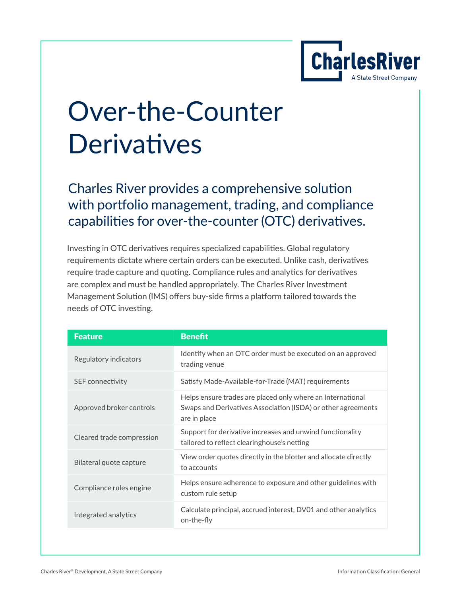

# Over-the-Counter **Derivatives**

Charles River provides a comprehensive solution with portfolio management, trading, and compliance capabilities for over-the-counter (OTC) derivatives.

Investing in OTC derivatives requires specialized capabilities. Global regulatory requirements dictate where certain orders can be executed. Unlike cash, derivatives require trade capture and quoting. Compliance rules and analytics for derivatives are complex and must be handled appropriately. The Charles River Investment Management Solution (IMS) offers buy-side firms a platform tailored towards the needs of OTC investing.

| <b>Feature</b>            | <b>Benefit</b>                                                                                                                             |
|---------------------------|--------------------------------------------------------------------------------------------------------------------------------------------|
| Regulatory indicators     | Identify when an OTC order must be executed on an approved<br>trading venue                                                                |
| SEF connectivity          | Satisfy Made-Available-for-Trade (MAT) requirements                                                                                        |
| Approved broker controls  | Helps ensure trades are placed only where an International<br>Swaps and Derivatives Association (ISDA) or other agreements<br>are in place |
| Cleared trade compression | Support for derivative increases and unwind functionality<br>tailored to reflect clearinghouse's netting                                   |
| Bilateral quote capture   | View order quotes directly in the blotter and allocate directly<br>to accounts                                                             |
| Compliance rules engine   | Helps ensure adherence to exposure and other guidelines with<br>custom rule setup                                                          |
| Integrated analytics      | Calculate principal, accrued interest, DV01 and other analytics<br>on-the-fly                                                              |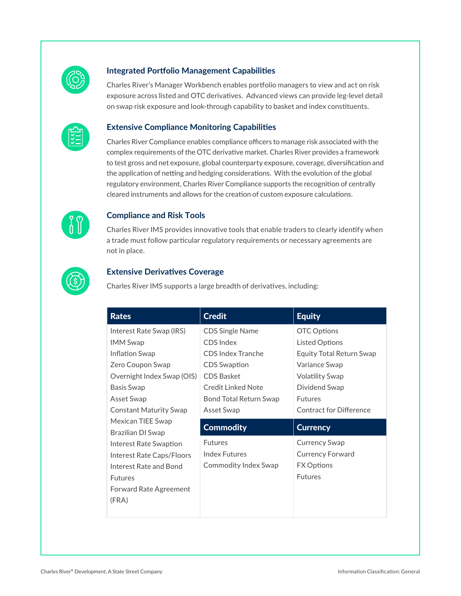

#### **Integrated Portfolio Management Capabilities**

Charles River's Manager Workbench enables portfolio managers to view and act on risk exposure across listed and OTC derivatives. Advanced views can provide leg-level detail on swap risk exposure and look-through capability to basket and index constituents.



#### **Extensive Compliance Monitoring Capabilities**

Charles River Compliance enables compliance officers to manage risk associated with the complex requirements of the OTC derivative market. Charles River provides a framework to test gross and net exposure, global counterparty exposure, coverage, diversification and the application of netting and hedging considerations. With the evolution of the global regulatory environment, Charles River Compliance supports the recognition of centrally cleared instruments and allows for the creation of custom exposure calculations.



#### **Compliance and Risk Tools**

Charles River IMS provides innovative tools that enable traders to clearly identify when a trade must follow particular regulatory requirements or necessary agreements are not in place.



#### **Extensive Derivatives Coverage**

Charles River IMS supports a large breadth of derivatives, including:

| <b>Rates</b>                  | <b>Credit</b>          | <b>Equity</b>                   |
|-------------------------------|------------------------|---------------------------------|
| Interest Rate Swap (IRS)      | <b>CDS Single Name</b> | <b>OTC Options</b>              |
| <b>IMM Swap</b>               | CDS Index              | <b>Listed Options</b>           |
| Inflation Swap                | CDS Index Tranche      | <b>Equity Total Return Swap</b> |
| Zero Coupon Swap              | <b>CDS Swaption</b>    | Variance Swap                   |
| Overnight Index Swap (OIS)    | <b>CDS Basket</b>      | <b>Volatility Swap</b>          |
| Basis Swap                    | Credit Linked Note     | Dividend Swap                   |
| Asset Swap                    | Bond Total Return Swap | <b>Futures</b>                  |
| <b>Constant Maturity Swap</b> | Asset Swap             | Contract for Difference         |
| Mexican TIEE Swap             |                        |                                 |
| Brazilian DI Swap             | <b>Commodity</b>       | <b>Currency</b>                 |
| Interest Rate Swaption        | <b>Futures</b>         | <b>Currency Swap</b>            |
| Interest Rate Caps/Floors     | <b>Index Futures</b>   | <b>Currency Forward</b>         |
| Interest Rate and Bond        | Commodity Index Swap   | <b>FX Options</b>               |
| <b>Futures</b>                |                        | <b>Futures</b>                  |
| <b>Forward Rate Agreement</b> |                        |                                 |
| (FRA)                         |                        |                                 |
|                               |                        |                                 |